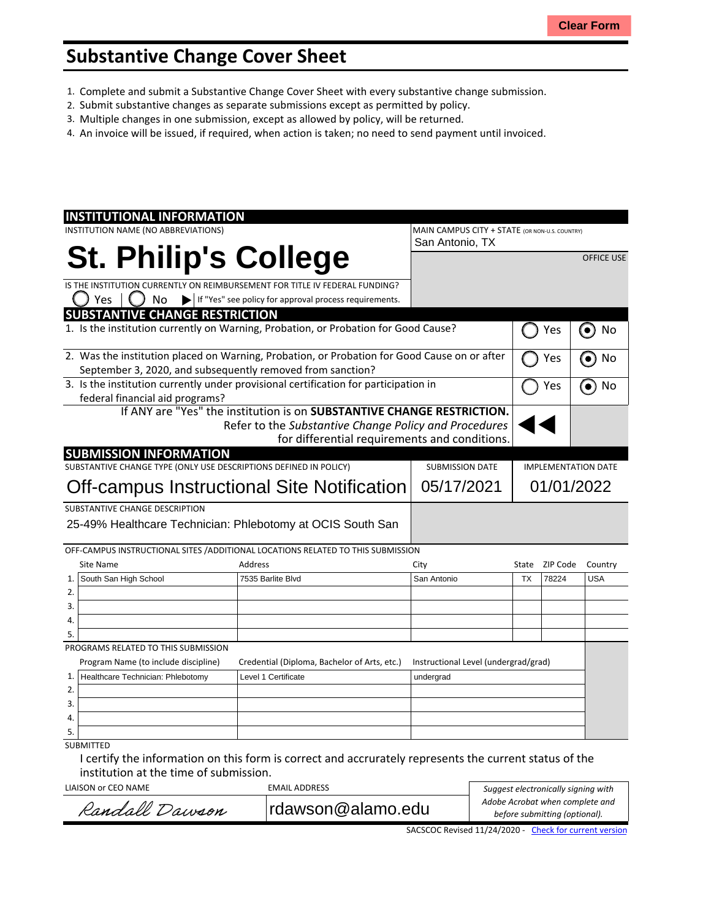## **Substantive Change Cover Sheet**

- 1. Complete and submit a Substantive Change Cover Sheet with every substantive change submission.
- 2. Submit substantive changes as separate submissions except as permitted by policy.
- 3. Multiple changes in one submission, except as allowed by policy, will be returned.
- 4. An invoice will be issued, if required, when action is taken; no need to send payment until invoiced.

| <b>INSTITUTIONAL INFORMATION</b>                                                             |                                                                                  |                                                |                            |                 |                   |
|----------------------------------------------------------------------------------------------|----------------------------------------------------------------------------------|------------------------------------------------|----------------------------|-----------------|-------------------|
| INSTITUTION NAME (NO ABBREVIATIONS)                                                          |                                                                                  | MAIN CAMPUS CITY + STATE (OR NON-U.S. COUNTRY) |                            |                 |                   |
|                                                                                              |                                                                                  | San Antonio, TX                                |                            |                 |                   |
| <b>St. Philip's College</b>                                                                  |                                                                                  |                                                |                            |                 | <b>OFFICE USE</b> |
|                                                                                              |                                                                                  |                                                |                            |                 |                   |
| IS THE INSTITUTION CURRENTLY ON REIMBURSEMENT FOR TITLE IV FEDERAL FUNDING?                  |                                                                                  |                                                |                            |                 |                   |
| Yes<br>No<br>$\blacktriangleright$                                                           | If "Yes" see policy for approval process requirements.                           |                                                |                            |                 |                   |
| <b>SUBSTANTIVE CHANGE RESTRICTION</b>                                                        |                                                                                  |                                                |                            |                 |                   |
| 1. Is the institution currently on Warning, Probation, or Probation for Good Cause?          |                                                                                  |                                                | Yes                        | No<br>$\bullet$ |                   |
| 2. Was the institution placed on Warning, Probation, or Probation for Good Cause on or after |                                                                                  |                                                |                            | Yes             | No                |
| September 3, 2020, and subsequently removed from sanction?                                   |                                                                                  |                                                |                            |                 |                   |
| 3. Is the institution currently under provisional certification for participation in         |                                                                                  |                                                |                            | Yes             | No<br>$\bullet$   |
| federal financial aid programs?                                                              |                                                                                  |                                                |                            |                 |                   |
|                                                                                              | If ANY are "Yes" the institution is on SUBSTANTIVE CHANGE RESTRICTION.           |                                                |                            |                 |                   |
|                                                                                              | Refer to the Substantive Change Policy and Procedures                            |                                                |                            |                 |                   |
|                                                                                              | for differential requirements and conditions.                                    |                                                |                            |                 |                   |
| <b>SUBMISSION INFORMATION</b>                                                                |                                                                                  |                                                |                            |                 |                   |
| SUBSTANTIVE CHANGE TYPE (ONLY USE DESCRIPTIONS DEFINED IN POLICY)                            |                                                                                  | <b>SUBMISSION DATE</b>                         | <b>IMPLEMENTATION DATE</b> |                 |                   |
|                                                                                              |                                                                                  | 05/17/2021                                     | 01/01/2022                 |                 |                   |
| Off-campus Instructional Site Notification                                                   |                                                                                  |                                                |                            |                 |                   |
| SUBSTANTIVE CHANGE DESCRIPTION                                                               |                                                                                  |                                                |                            |                 |                   |
| 25-49% Healthcare Technician: Phlebotomy at OCIS South San                                   |                                                                                  |                                                |                            |                 |                   |
|                                                                                              |                                                                                  |                                                |                            |                 |                   |
|                                                                                              | OFF-CAMPUS INSTRUCTIONAL SITES / ADDITIONAL LOCATIONS RELATED TO THIS SUBMISSION |                                                |                            |                 |                   |
| <b>Site Name</b>                                                                             | <b>Address</b>                                                                   | City                                           | State                      | ZIP Code        | Country           |
| South San High School<br>1.                                                                  | 7535 Barlite Blvd                                                                | San Antonio                                    | <b>TX</b>                  | 78224           | <b>USA</b>        |
| 2.                                                                                           |                                                                                  |                                                |                            |                 |                   |
| 3.                                                                                           |                                                                                  |                                                |                            |                 |                   |
| 4.                                                                                           |                                                                                  |                                                |                            |                 |                   |
| 5.                                                                                           |                                                                                  |                                                |                            |                 |                   |
| PROGRAMS RELATED TO THIS SUBMISSION                                                          |                                                                                  |                                                |                            |                 |                   |
| Program Name (to include discipline)                                                         | Credential (Diploma, Bachelor of Arts, etc.)                                     | Instructional Level (undergrad/grad)           |                            |                 |                   |
| 1.<br>Healthcare Technician: Phlebotomy                                                      | Level 1 Certificate                                                              | undergrad                                      |                            |                 |                   |
| 2.                                                                                           |                                                                                  |                                                |                            |                 |                   |
| 3.                                                                                           |                                                                                  |                                                |                            |                 |                   |
| 4.                                                                                           |                                                                                  |                                                |                            |                 |                   |
| 5.                                                                                           |                                                                                  |                                                |                            |                 |                   |
| <b>SUBMITTED</b>                                                                             |                                                                                  |                                                |                            |                 |                   |

I certify the information on this form is correct and accrurately represents the current status of the institution at the time of submission.

п

| LIAISON or CEO NAME | EMAIL ADDRESS     | Suggest electronically signing with<br>Adobe Acrobat when complete and<br>before submitting (optional). |  |
|---------------------|-------------------|---------------------------------------------------------------------------------------------------------|--|
| Randall Dawson      | rdawson@alamo.edu |                                                                                                         |  |
|                     |                   |                                                                                                         |  |

SACSCOC Revised 11/24/2020 - Check for [current](http://sacscoc.org/app/uploads/2020/01/Substantive_Change_Cover_-Sheet.pdf) version